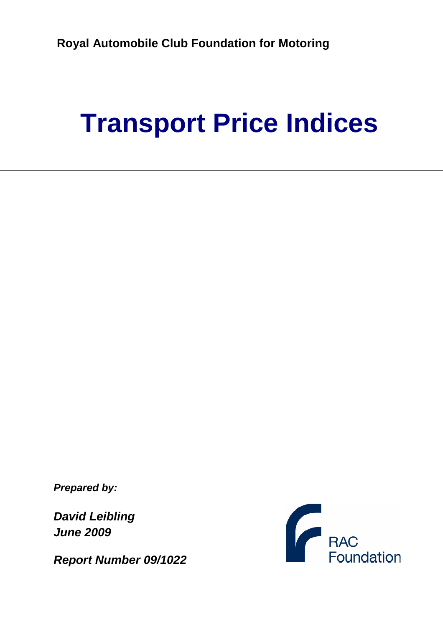# **Transport Price Indices**

**Prepared by:** 

**David Leibling June 2009** 

**Report Number 09/1022**

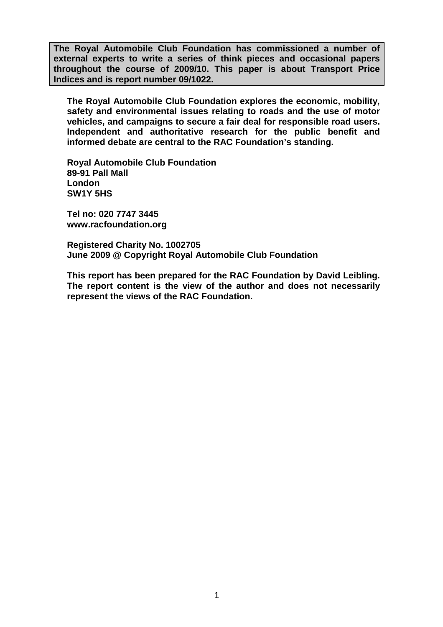**The Royal Automobile Club Foundation has commissioned a number of external experts to write a series of think pieces and occasional papers throughout the course of 2009/10. This paper is about Transport Price Indices and is report number 09/1022.**

**The Royal Automobile Club Foundation explores the economic, mobility, safety and environmental issues relating to roads and the use of motor vehicles, and campaigns to secure a fair deal for responsible road users. Independent and authoritative research for the public benefit and informed debate are central to the RAC Foundation's standing.** 

**Royal Automobile Club Foundation 89-91 Pall Mall London SW1Y 5HS** 

**Tel no: 020 7747 3445 www.racfoundation.org** 

**Registered Charity No. 1002705 June 2009 @ Copyright Royal Automobile Club Foundation** 

**This report has been prepared for the RAC Foundation by David Leibling. The report content is the view of the author and does not necessarily represent the views of the RAC Foundation.**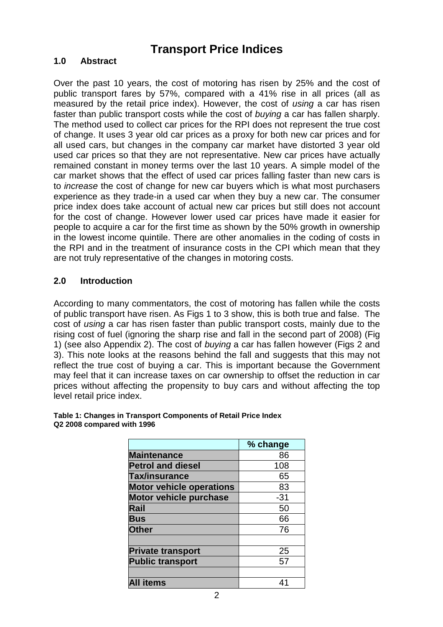# **Transport Price Indices**

#### **1.0 Abstract**

Over the past 10 years, the cost of motoring has risen by 25% and the cost of public transport fares by 57%, compared with a 41% rise in all prices (all as measured by the retail price index). However, the cost of *using* a car has risen faster than public transport costs while the cost of buying a car has fallen sharply. The method used to collect car prices for the RPI does not represent the true cost of change. It uses 3 year old car prices as a proxy for both new car prices and for all used cars, but changes in the company car market have distorted 3 year old used car prices so that they are not representative. New car prices have actually remained constant in money terms over the last 10 years. A simple model of the car market shows that the effect of used car prices falling faster than new cars is to increase the cost of change for new car buyers which is what most purchasers experience as they trade-in a used car when they buy a new car. The consumer price index does take account of actual new car prices but still does not account for the cost of change. However lower used car prices have made it easier for people to acquire a car for the first time as shown by the 50% growth in ownership in the lowest income quintile. There are other anomalies in the coding of costs in the RPI and in the treatment of insurance costs in the CPI which mean that they are not truly representative of the changes in motoring costs.

#### **2.0 Introduction**

According to many commentators, the cost of motoring has fallen while the costs of public transport have risen. As Figs 1 to 3 show, this is both true and false. The cost of using a car has risen faster than public transport costs, mainly due to the rising cost of fuel (ignoring the sharp rise and fall in the second part of 2008) (Fig 1) (see also Appendix 2). The cost of buying a car has fallen however (Figs 2 and 3). This note looks at the reasons behind the fall and suggests that this may not reflect the true cost of buying a car. This is important because the Government may feel that it can increase taxes on car ownership to offset the reduction in car prices without affecting the propensity to buy cars and without affecting the top level retail price index.

|                                 | % change |
|---------------------------------|----------|
| <b>Maintenance</b>              | 86       |
| <b>Petrol and diesel</b>        | 108      |
| Tax/insurance                   | 65       |
| <b>Motor vehicle operations</b> | 83       |
| <b>Motor vehicle purchase</b>   | $-31$    |
| Rail                            | 50       |
| <b>Bus</b>                      | 66       |
| <b>Other</b>                    | 76       |
|                                 |          |
| <b>Private transport</b>        | 25       |
| <b>Public transport</b>         | 57       |
|                                 |          |
| items                           |          |

#### **Table 1: Changes in Transport Components of Retail Price Index Q2 2008 compared with 1996**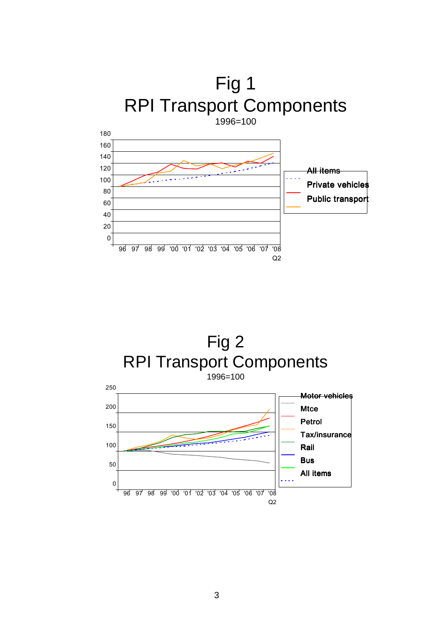



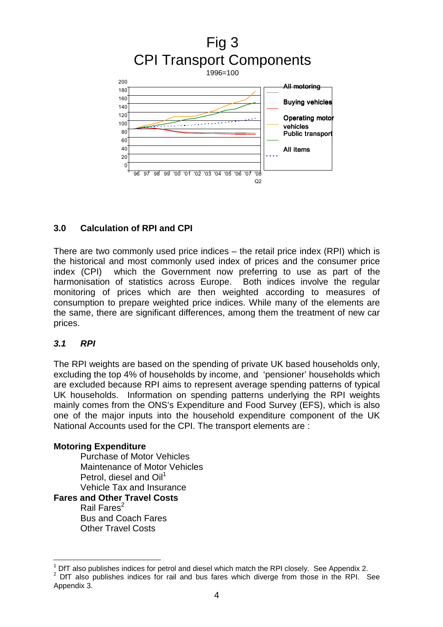

#### **3.0 Calculation of RPI and CPI**

There are two commonly used price indices – the retail price index (RPI) which is the historical and most commonly used index of prices and the consumer price index (CPI) which the Government now preferring to use as part of the harmonisation of statistics across Europe. Both indices involve the regular monitoring of prices which are then weighted according to measures of consumption to prepare weighted price indices. While many of the elements are the same, there are significant differences, among them the treatment of new car prices.

#### **3.1 RPI**

 $\overline{a}$ 

The RPI weights are based on the spending of private UK based households only, excluding the top 4% of households by income, and 'pensioner' households which are excluded because RPI aims to represent average spending patterns of typical UK households. Information on spending patterns underlying the RPI weights mainly comes from the ONS's Expenditure and Food Survey (EFS), which is also one of the major inputs into the household expenditure component of the UK National Accounts used for the CPI. The transport elements are :

#### **Motoring Expenditure**

Purchase of Motor Vehicles Maintenance of Motor Vehicles Petrol, diesel and Oil<sup>1</sup> Vehicle Tax and Insurance

#### **Fares and Other Travel Costs**

Rail Fares $2$ Bus and Coach Fares Other Travel Costs

<sup>1</sup> DfT also publishes indices for petrol and diesel which match the RPI closely. See Appendix 2.  $2$  DfT also publishes indices for rail and bus fares which diverge from those in the RPI. See Appendix 3.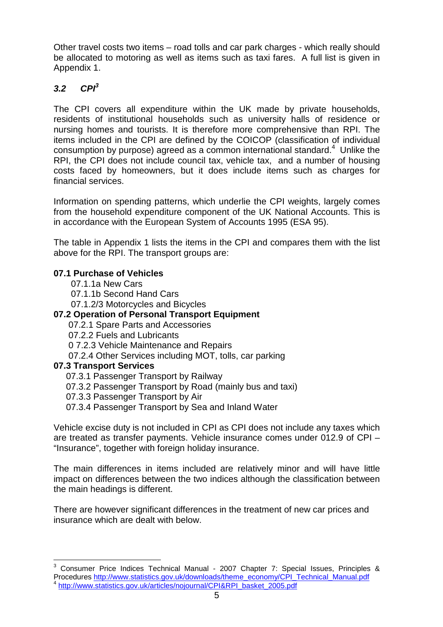Other travel costs two items – road tolls and car park charges - which really should be allocated to motoring as well as items such as taxi fares. A full list is given in Appendix 1.

### **3.2 CPI<sup>3</sup>**

The CPI covers all expenditure within the UK made by private households, residents of institutional households such as university halls of residence or nursing homes and tourists. It is therefore more comprehensive than RPI. The items included in the CPI are defined by the COICOP (classification of individual consumption by purpose) agreed as a common international standard.<sup>4</sup> Unlike the RPI, the CPI does not include council tax, vehicle tax, and a number of housing costs faced by homeowners, but it does include items such as charges for financial services.

Information on spending patterns, which underlie the CPI weights, largely comes from the household expenditure component of the UK National Accounts. This is in accordance with the European System of Accounts 1995 (ESA 95).

The table in Appendix 1 lists the items in the CPI and compares them with the list above for the RPI. The transport groups are:

#### **07.1 Purchase of Vehicles**

07.1.1a New Cars

07.1.1b Second Hand Cars

07.1.2/3 Motorcycles and Bicycles

#### **07.2 Operation of Personal Transport Equipment**

07.2.1 Spare Parts and Accessories

07.2.2 Fuels and Lubricants

0 7.2.3 Vehicle Maintenance and Repairs

07.2.4 Other Services including MOT, tolls, car parking

#### **07.3 Transport Services**

 $\overline{\phantom{a}}$ 

07.3.1 Passenger Transport by Railway

07.3.2 Passenger Transport by Road (mainly bus and taxi)

07.3.3 Passenger Transport by Air

07.3.4 Passenger Transport by Sea and Inland Water

Vehicle excise duty is not included in CPI as CPI does not include any taxes which are treated as transfer payments. Vehicle insurance comes under 012.9 of CPI – "Insurance", together with foreign holiday insurance.

The main differences in items included are relatively minor and will have little impact on differences between the two indices although the classification between the main headings is different.

There are however significant differences in the treatment of new car prices and insurance which are dealt with below.

<sup>3</sup> Consumer Price Indices Technical Manual - 2007 Chapter 7: Special Issues, Principles & Procedures http://www.statistics.gov.uk/downloads/theme\_economy/CPI\_Technical\_Manual.pdf 4 http://www.statistics.gov.uk/articles/nojournal/CPI&RPI\_basket\_2005.pdf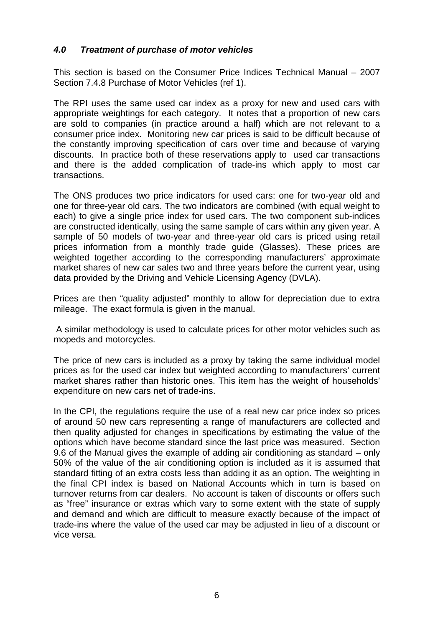#### **4.0 Treatment of purchase of motor vehicles**

This section is based on the Consumer Price Indices Technical Manual – 2007 Section 7.4.8 Purchase of Motor Vehicles (ref 1).

The RPI uses the same used car index as a proxy for new and used cars with appropriate weightings for each category. It notes that a proportion of new cars are sold to companies (in practice around a half) which are not relevant to a consumer price index. Monitoring new car prices is said to be difficult because of the constantly improving specification of cars over time and because of varying discounts. In practice both of these reservations apply to used car transactions and there is the added complication of trade-ins which apply to most car transactions.

The ONS produces two price indicators for used cars: one for two-year old and one for three-year old cars. The two indicators are combined (with equal weight to each) to give a single price index for used cars. The two component sub-indices are constructed identically, using the same sample of cars within any given year. A sample of 50 models of two-year and three-year old cars is priced using retail prices information from a monthly trade guide (Glasses). These prices are weighted together according to the corresponding manufacturers' approximate market shares of new car sales two and three years before the current year, using data provided by the Driving and Vehicle Licensing Agency (DVLA).

Prices are then "quality adjusted" monthly to allow for depreciation due to extra mileage. The exact formula is given in the manual.

 A similar methodology is used to calculate prices for other motor vehicles such as mopeds and motorcycles.

The price of new cars is included as a proxy by taking the same individual model prices as for the used car index but weighted according to manufacturers' current market shares rather than historic ones. This item has the weight of households' expenditure on new cars net of trade-ins.

In the CPI, the regulations require the use of a real new car price index so prices of around 50 new cars representing a range of manufacturers are collected and then quality adjusted for changes in specifications by estimating the value of the options which have become standard since the last price was measured. Section 9.6 of the Manual gives the example of adding air conditioning as standard – only 50% of the value of the air conditioning option is included as it is assumed that standard fitting of an extra costs less than adding it as an option. The weighting in the final CPI index is based on National Accounts which in turn is based on turnover returns from car dealers. No account is taken of discounts or offers such as "free" insurance or extras which vary to some extent with the state of supply and demand and which are difficult to measure exactly because of the impact of trade-ins where the value of the used car may be adjusted in lieu of a discount or vice versa.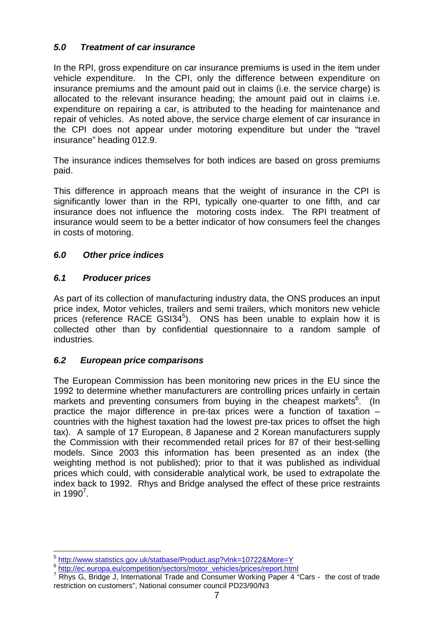#### **5.0 Treatment of car insurance**

In the RPI, gross expenditure on car insurance premiums is used in the item under vehicle expenditure. In the CPI, only the difference between expenditure on insurance premiums and the amount paid out in claims (i.e. the service charge) is allocated to the relevant insurance heading; the amount paid out in claims i.e. expenditure on repairing a car, is attributed to the heading for maintenance and repair of vehicles. As noted above, the service charge element of car insurance in the CPI does not appear under motoring expenditure but under the "travel insurance" heading 012.9.

The insurance indices themselves for both indices are based on gross premiums paid.

This difference in approach means that the weight of insurance in the CPI is significantly lower than in the RPI, typically one-quarter to one fifth, and car insurance does not influence the motoring costs index. The RPI treatment of insurance would seem to be a better indicator of how consumers feel the changes in costs of motoring.

#### **6.0 Other price indices**

#### **6.1 Producer prices**

As part of its collection of manufacturing industry data, the ONS produces an input price index, Motor vehicles, trailers and semi trailers, which monitors new vehicle .<br>prices (reference RACE GSI34<sup>5</sup>). ONS has been unable to explain how it is collected other than by confidential questionnaire to a random sample of industries.

#### **6.2 European price comparisons**

The European Commission has been monitoring new prices in the EU since the 1992 to determine whether manufacturers are controlling prices unfairly in certain markets and preventing consumers from buying in the cheapest markets<sup>6</sup>. (In practice the major difference in pre-tax prices were a function of taxation – countries with the highest taxation had the lowest pre-tax prices to offset the high tax). A sample of 17 European, 8 Japanese and 2 Korean manufacturers supply the Commission with their recommended retail prices for 87 of their best-selling models. Since 2003 this information has been presented as an index (the weighting method is not published); prior to that it was published as individual prices which could, with considerable analytical work, be used to extrapolate the index back to 1992. Rhys and Bridge analysed the effect of these price restraints in 1990<sup>7</sup>.

 5 http://www.statistics.gov.uk/statbase/Product.asp?vlnk=10722&More=Y

<sup>&</sup>lt;sup>6</sup> http://ec.europa.eu/competition/sectors/motor\_vehicles/prices/report.html

 $7$  Rhys G, Bridge J, International Trade and Consumer Working Paper 4 "Cars - the cost of trade restriction on customers", National consumer council PD23/90/N3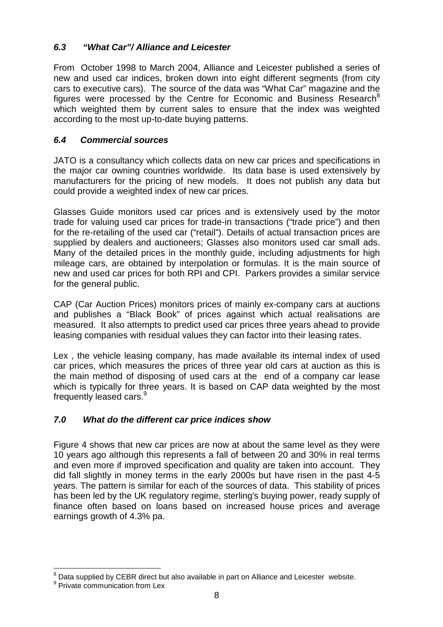## **6.3 "What Car"/ Alliance and Leicester**

From October 1998 to March 2004, Alliance and Leicester published a series of new and used car indices, broken down into eight different segments (from city cars to executive cars). The source of the data was "What Car" magazine and the figures were processed by the Centre for Economic and Business Research<sup>8</sup> which weighted them by current sales to ensure that the index was weighted according to the most up-to-date buying patterns.

#### **6.4 Commercial sources**

JATO is a consultancy which collects data on new car prices and specifications in the major car owning countries worldwide. Its data base is used extensively by manufacturers for the pricing of new models. It does not publish any data but could provide a weighted index of new car prices.

Glasses Guide monitors used car prices and is extensively used by the motor trade for valuing used car prices for trade-in transactions ("trade price") and then for the re-retailing of the used car ("retail"). Details of actual transaction prices are supplied by dealers and auctioneers; Glasses also monitors used car small ads. Many of the detailed prices in the monthly guide, including adjustments for high mileage cars, are obtained by interpolation or formulas. It is the main source of new and used car prices for both RPI and CPI. Parkers provides a similar service for the general public.

CAP (Car Auction Prices) monitors prices of mainly ex-company cars at auctions and publishes a "Black Book" of prices against which actual realisations are measured. It also attempts to predict used car prices three years ahead to provide leasing companies with residual values they can factor into their leasing rates.

Lex , the vehicle leasing company, has made available its internal index of used car prices, which measures the prices of three year old cars at auction as this is the main method of disposing of used cars at the end of a company car lease which is typically for three years. It is based on CAP data weighted by the most frequently leased cars.<sup>9</sup>

## **7.0 What do the different car price indices show**

Figure 4 shows that new car prices are now at about the same level as they were 10 years ago although this represents a fall of between 20 and 30% in real terms and even more if improved specification and quality are taken into account. They did fall slightly in money terms in the early 2000s but have risen in the past 4-5 years. The pattern is similar for each of the sources of data. This stability of prices has been led by the UK regulatory regime, sterling's buying power, ready supply of finance often based on loans based on increased house prices and average earnings growth of 4.3% pa.

 $\overline{a}$  $8$  Data supplied by CEBR direct but also available in part on Alliance and Leicester website.

<sup>&</sup>lt;sup>9</sup> Private communication from Lex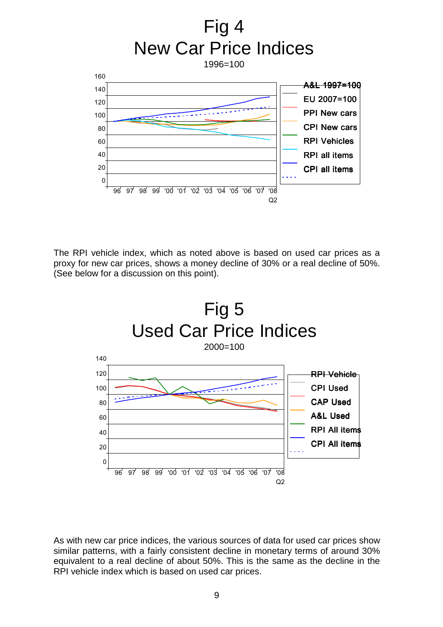

The RPI vehicle index, which as noted above is based on used car prices as a proxy for new car prices, shows a money decline of 30% or a real decline of 50%. (See below for a discussion on this point).



As with new car price indices, the various sources of data for used car prices show similar patterns, with a fairly consistent decline in monetary terms of around 30% equivalent to a real decline of about 50%. This is the same as the decline in the RPI vehicle index which is based on used car prices.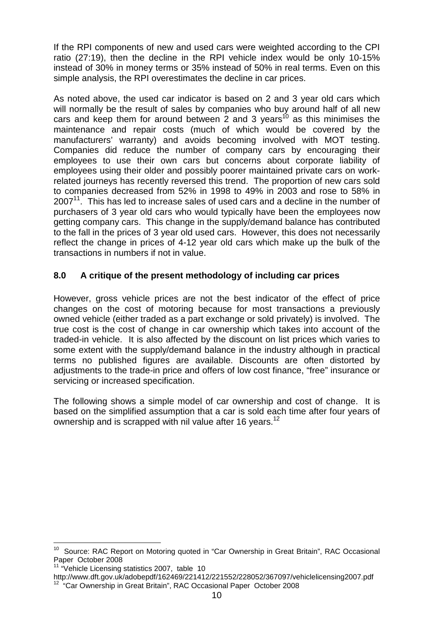If the RPI components of new and used cars were weighted according to the CPI ratio (27:19), then the decline in the RPI vehicle index would be only 10-15% instead of 30% in money terms or 35% instead of 50% in real terms. Even on this simple analysis, the RPI overestimates the decline in car prices.

As noted above, the used car indicator is based on 2 and 3 year old cars which will normally be the result of sales by companies who buy around half of all new cars and keep them for around between 2 and 3 years<sup>10</sup> as this minimises the maintenance and repair costs (much of which would be covered by the manufacturers' warranty) and avoids becoming involved with MOT testing. Companies did reduce the number of company cars by encouraging their employees to use their own cars but concerns about corporate liability of employees using their older and possibly poorer maintained private cars on workrelated journeys has recently reversed this trend. The proportion of new cars sold to companies decreased from 52% in 1998 to 49% in 2003 and rose to 58% in  $2007<sup>11</sup>$ . This has led to increase sales of used cars and a decline in the number of purchasers of 3 year old cars who would typically have been the employees now getting company cars. This change in the supply/demand balance has contributed to the fall in the prices of 3 year old used cars. However, this does not necessarily reflect the change in prices of 4-12 year old cars which make up the bulk of the transactions in numbers if not in value.

#### **8.0 A critique of the present methodology of including car prices**

However, gross vehicle prices are not the best indicator of the effect of price changes on the cost of motoring because for most transactions a previously owned vehicle (either traded as a part exchange or sold privately) is involved. The true cost is the cost of change in car ownership which takes into account of the traded-in vehicle. It is also affected by the discount on list prices which varies to some extent with the supply/demand balance in the industry although in practical terms no published figures are available. Discounts are often distorted by adjustments to the trade-in price and offers of low cost finance, "free" insurance or servicing or increased specification.

The following shows a simple model of car ownership and cost of change. It is based on the simplified assumption that a car is sold each time after four years of ownership and is scrapped with nil value after 16 years.<sup>12</sup>

 $\overline{\phantom{a}}$  $10$  Source: RAC Report on Motoring quoted in "Car Ownership in Great Britain", RAC Occasional Paper October 2008

<sup>&</sup>lt;sup>11</sup> "Vehicle Licensing statistics 2007, table 10

http://www.dft.gov.uk/adobepdf/162469/221412/221552/228052/367097/vehiclelicensing2007.pdf <sup>12</sup> "Car Ownership in Great Britain", RAC Occasional Paper October 2008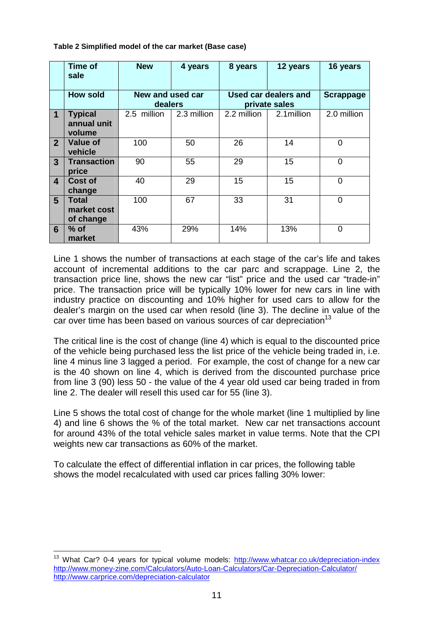**Table 2 Simplified model of the car market (Base case)** 

|                | Time of<br>sale                         | <b>New</b>                  | 4 years     | 8 years                               | 12 years    | 16 years         |
|----------------|-----------------------------------------|-----------------------------|-------------|---------------------------------------|-------------|------------------|
|                | <b>How sold</b>                         | New and used car<br>dealers |             | Used car dealers and<br>private sales |             | <b>Scrappage</b> |
| $\mathbf 1$    | <b>Typical</b><br>annual unit<br>volume | 2.5 million                 | 2.3 million | 2.2 million                           | 2.1 million | 2.0 million      |
| $\overline{2}$ | Value of<br>vehicle                     | 100                         | 50          | 26                                    | 14          | 0                |
| 3 <sup>1</sup> | <b>Transaction</b><br>price             | 90                          | 55          | 29                                    | 15          | $\overline{0}$   |
| 4              | Cost of<br>change                       | 40                          | 29          | 15                                    | 15          | $\overline{0}$   |
| 5 <sup>5</sup> | Total<br>market cost<br>of change       | 100                         | 67          | 33                                    | 31          | 0                |
| 6              | % of<br>market                          | 43%                         | 29%         | 14%                                   | 13%         | 0                |

Line 1 shows the number of transactions at each stage of the car's life and takes account of incremental additions to the car parc and scrappage. Line 2, the transaction price line, shows the new car "list" price and the used car "trade-in" price. The transaction price will be typically 10% lower for new cars in line with industry practice on discounting and 10% higher for used cars to allow for the dealer's margin on the used car when resold (line 3). The decline in value of the car over time has been based on various sources of car depreciation<sup>13</sup>

The critical line is the cost of change (line 4) which is equal to the discounted price of the vehicle being purchased less the list price of the vehicle being traded in, i.e. line 4 minus line 3 lagged a period. For example, the cost of change for a new car is the 40 shown on line 4, which is derived from the discounted purchase price from line 3 (90) less 50 - the value of the 4 year old used car being traded in from line 2. The dealer will resell this used car for 55 (line 3).

Line 5 shows the total cost of change for the whole market (line 1 multiplied by line 4) and line 6 shows the % of the total market. New car net transactions account for around 43% of the total vehicle sales market in value terms. Note that the CPI weights new car transactions as 60% of the market.

To calculate the effect of differential inflation in car prices, the following table shows the model recalculated with used car prices falling 30% lower:

 $\overline{a}$ <sup>13</sup> What Car? 0-4 years for typical volume models: http://www.whatcar.co.uk/depreciation-index http://www.money-zine.com/Calculators/Auto-Loan-Calculators/Car-Depreciation-Calculator/ http://www.carprice.com/depreciation-calculator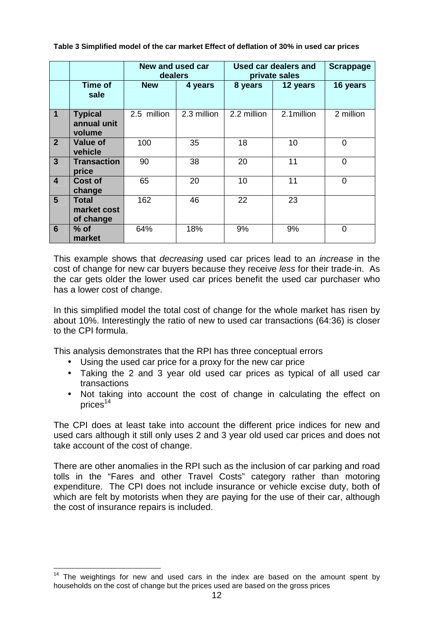**Table 3 Simplified model of the car market Effect of deflation of 30% in used car prices**

|                |                                          | New and used car<br>dealers |             | <b>Used car dealers and</b><br>private sales |             | <b>Scrappage</b> |
|----------------|------------------------------------------|-----------------------------|-------------|----------------------------------------------|-------------|------------------|
|                | Time of<br>sale                          | <b>New</b>                  | 4 years     | 8 years                                      | 12 years    | 16 years         |
| $\mathbf{1}$   | <b>Typical</b><br>annual unit<br>volume  | 2.5 million                 | 2.3 million | 2.2 million                                  | 2.1 million | 2 million        |
| $\overline{2}$ | <b>Value of</b><br>vehicle               | 100                         | 35          | 18                                           | 10          | 0                |
| $\mathbf{3}$   | <b>Transaction</b><br>price              | 90                          | 38          | 20                                           | 11          | $\overline{0}$   |
| $\overline{4}$ | Cost of<br>change                        | 65                          | 20          | 10                                           | 11          | $\overline{0}$   |
| $5\phantom{1}$ | <b>Total</b><br>market cost<br>of change | 162                         | 46          | 22                                           | 23          |                  |
| 6              | $%$ of<br>market                         | 64%                         | 18%         | 9%                                           | 9%          | $\overline{0}$   |

This example shows that decreasing used car prices lead to an increase in the cost of change for new car buyers because they receive less for their trade-in. As the car gets older the lower used car prices benefit the used car purchaser who has a lower cost of change.

In this simplified model the total cost of change for the whole market has risen by about 10%. Interestingly the ratio of new to used car transactions (64:36) is closer to the CPI formula.

This analysis demonstrates that the RPI has three conceptual errors

- Using the used car price for a proxy for the new car price
- Taking the 2 and 3 year old used car prices as typical of all used car transactions
- Not taking into account the cost of change in calculating the effect on prices $14$

The CPI does at least take into account the different price indices for new and used cars although it still only uses 2 and 3 year old used car prices and does not take account of the cost of change.

There are other anomalies in the RPI such as the inclusion of car parking and road tolls in the "Fares and other Travel Costs" category rather than motoring expenditure. The CPI does not include insurance or vehicle excise duty, both of which are felt by motorists when they are paying for the use of their car, although the cost of insurance repairs is included.

 $\overline{a}$  $14$  The weightings for new and used cars in the index are based on the amount spent by households on the cost of change but the prices used are based on the gross prices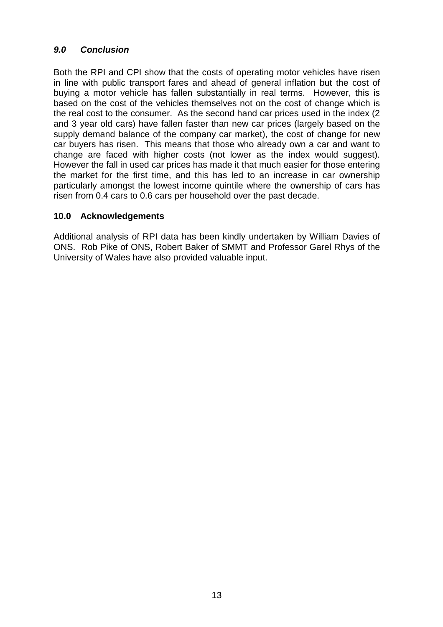#### **9.0 Conclusion**

Both the RPI and CPI show that the costs of operating motor vehicles have risen in line with public transport fares and ahead of general inflation but the cost of buying a motor vehicle has fallen substantially in real terms. However, this is based on the cost of the vehicles themselves not on the cost of change which is the real cost to the consumer. As the second hand car prices used in the index (2 and 3 year old cars) have fallen faster than new car prices (largely based on the supply demand balance of the company car market), the cost of change for new car buyers has risen. This means that those who already own a car and want to change are faced with higher costs (not lower as the index would suggest). However the fall in used car prices has made it that much easier for those entering the market for the first time, and this has led to an increase in car ownership particularly amongst the lowest income quintile where the ownership of cars has risen from 0.4 cars to 0.6 cars per household over the past decade.

#### **10.0 Acknowledgements**

Additional analysis of RPI data has been kindly undertaken by William Davies of ONS. Rob Pike of ONS, Robert Baker of SMMT and Professor Garel Rhys of the University of Wales have also provided valuable input.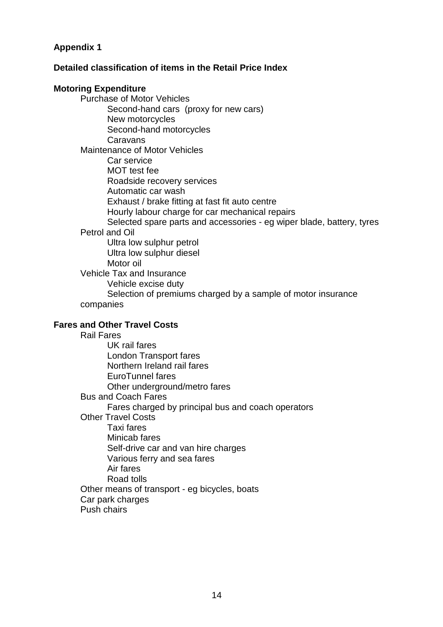#### **Appendix 1**

#### **Detailed classification of items in the Retail Price Index**

#### **Motoring Expenditure**

Purchase of Motor Vehicles Second-hand cars (proxy for new cars) New motorcycles Second-hand motorcycles **Caravans** Maintenance of Motor Vehicles Car service MOT test fee Roadside recovery services Automatic car wash Exhaust / brake fitting at fast fit auto centre Hourly labour charge for car mechanical repairs Selected spare parts and accessories - eg wiper blade, battery, tyres Petrol and Oil Ultra low sulphur petrol Ultra low sulphur diesel Motor oil Vehicle Tax and Insurance Vehicle excise duty Selection of premiums charged by a sample of motor insurance

companies

#### **Fares and Other Travel Costs**

Rail Fares UK rail fares London Transport fares Northern Ireland rail fares EuroTunnel fares Other underground/metro fares Bus and Coach Fares Fares charged by principal bus and coach operators Other Travel Costs Taxi fares Minicab fares Self-drive car and van hire charges Various ferry and sea fares Air fares Road tolls Other means of transport - eg bicycles, boats Car park charges Push chairs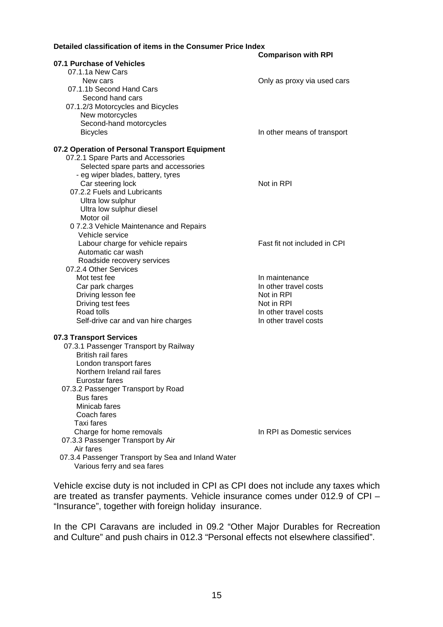#### **Detailed classification of items in the Consumer Price Index**

|                                                    | <b>Comparison with RPI</b>   |
|----------------------------------------------------|------------------------------|
| 07.1 Purchase of Vehicles                          |                              |
| 07.1.1a New Cars                                   |                              |
| New cars                                           | Only as proxy via used cars  |
| 07.1.1b Second Hand Cars                           |                              |
| Second hand cars                                   |                              |
| 07.1.2/3 Motorcycles and Bicycles                  |                              |
| New motorcycles                                    |                              |
| Second-hand motorcycles                            |                              |
| <b>Bicycles</b>                                    | In other means of transport  |
|                                                    |                              |
| 07.2 Operation of Personal Transport Equipment     |                              |
| 07.2.1 Spare Parts and Accessories                 |                              |
| Selected spare parts and accessories               |                              |
| - eg wiper blades, battery, tyres                  |                              |
| Car steering lock                                  | Not in RPI                   |
| 07.2.2 Fuels and Lubricants                        |                              |
| Ultra low sulphur                                  |                              |
| Ultra low sulphur diesel                           |                              |
| Motor oil                                          |                              |
| 07.2.3 Vehicle Maintenance and Repairs             |                              |
| Vehicle service                                    |                              |
| Labour charge for vehicle repairs                  | Fast fit not included in CPI |
| Automatic car wash                                 |                              |
| Roadside recovery services                         |                              |
| 07.2.4 Other Services                              |                              |
| Mot test fee                                       | In maintenance               |
| Car park charges                                   | In other travel costs        |
| Driving lesson fee                                 | Not in RPI                   |
| Driving test fees                                  | Not in RPI                   |
| Road tolls                                         | In other travel costs        |
| Self-drive car and van hire charges                | In other travel costs        |
|                                                    |                              |
| 07.3 Transport Services                            |                              |
| 07.3.1 Passenger Transport by Railway              |                              |
| <b>British rail fares</b>                          |                              |
| London transport fares                             |                              |
| Northern Ireland rail fares                        |                              |
| Eurostar fares                                     |                              |
| 07.3.2 Passenger Transport by Road                 |                              |
| <b>Bus fares</b>                                   |                              |
| Minicab fares                                      |                              |
| Coach fares                                        |                              |
| Taxi fares                                         |                              |
| Charge for home removals                           | In RPI as Domestic services  |
| 07.3.3 Passenger Transport by Air                  |                              |
| Air fares                                          |                              |
| 07.3.4 Passenger Transport by Sea and Inland Water |                              |
| Various ferry and sea fares                        |                              |
|                                                    |                              |

Vehicle excise duty is not included in CPI as CPI does not include any taxes which are treated as transfer payments. Vehicle insurance comes under 012.9 of CPI – "Insurance", together with foreign holiday insurance.

In the CPI Caravans are included in 09.2 "Other Major Durables for Recreation and Culture" and push chairs in 012.3 "Personal effects not elsewhere classified".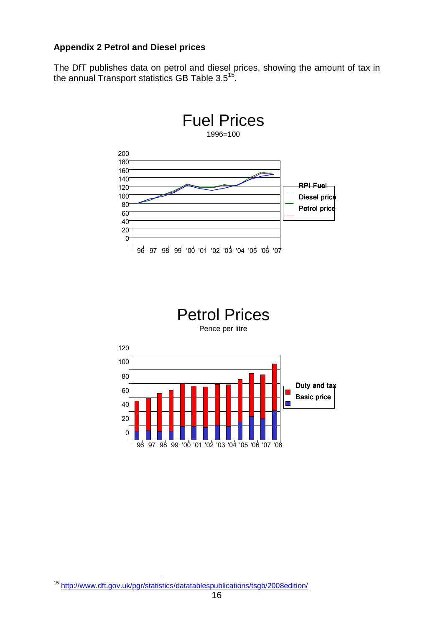#### **Appendix 2 Petrol and Diesel prices**

The DfT publishes data on petrol and diesel prices, showing the amount of tax in the annual Transport statistics GB Table 3.5 $^{15}$ .



 $\overline{a}$ <sup>15</sup> http://www.dft.gov.uk/pgr/statistics/datatablespublications/tsgb/2008edition/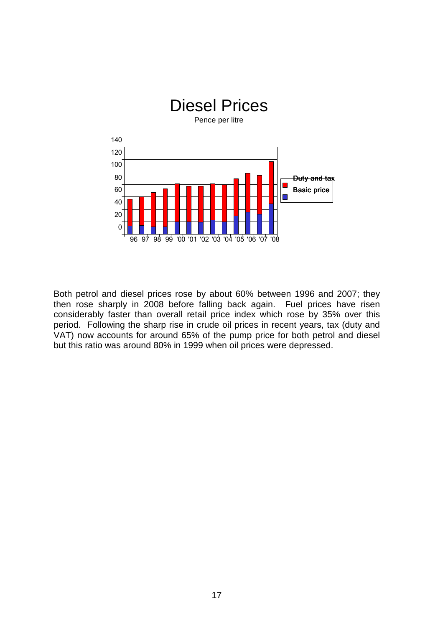

Both petrol and diesel prices rose by about 60% between 1996 and 2007; they then rose sharply in 2008 before falling back again. Fuel prices have risen considerably faster than overall retail price index which rose by 35% over this period. Following the sharp rise in crude oil prices in recent years, tax (duty and VAT) now accounts for around 65% of the pump price for both petrol and diesel but this ratio was around 80% in 1999 when oil prices were depressed.